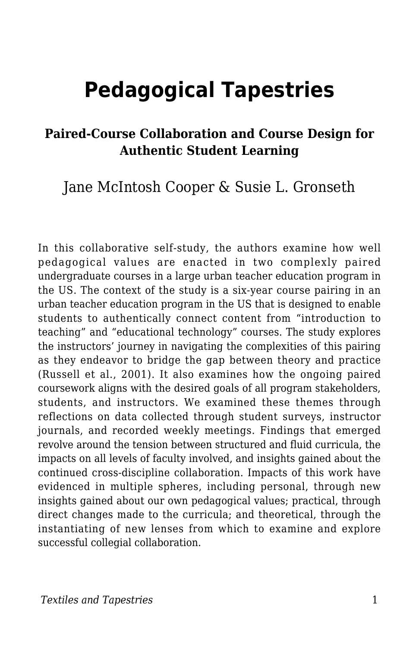# **Pedagogical Tapestries**

### **Paired-Course Collaboration and Course Design for Authentic Student Learning**

Jane McIntosh Cooper & Susie L. Gronseth

In this collaborative self-study, the authors examine how well pedagogical values are enacted in two complexly paired undergraduate courses in a large urban teacher education program in the US. The context of the study is a six-year course pairing in an urban teacher education program in the US that is designed to enable students to authentically connect content from "introduction to teaching" and "educational technology" courses. The study explores the instructors' journey in navigating the complexities of this pairing as they endeavor to bridge the gap between theory and practice (Russell et al., 2001). It also examines how the ongoing paired coursework aligns with the desired goals of all program stakeholders, students, and instructors. We examined these themes through reflections on data collected through student surveys, instructor journals, and recorded weekly meetings. Findings that emerged revolve around the tension between structured and fluid curricula, the impacts on all levels of faculty involved, and insights gained about the continued cross-discipline collaboration. Impacts of this work have evidenced in multiple spheres, including personal, through new insights gained about our own pedagogical values; practical, through direct changes made to the curricula; and theoretical, through the instantiating of new lenses from which to examine and explore successful collegial collaboration.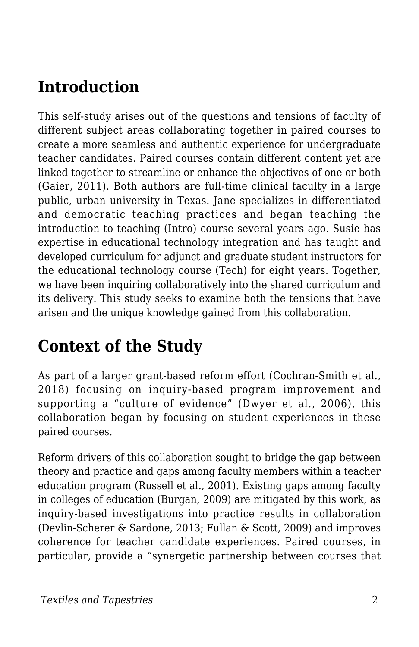# **Introduction**

This self-study arises out of the questions and tensions of faculty of different subject areas collaborating together in paired courses to create a more seamless and authentic experience for undergraduate teacher candidates. Paired courses contain different content yet are linked together to streamline or enhance the objectives of one or both (Gaier, 2011). Both authors are full-time clinical faculty in a large public, urban university in Texas. Jane specializes in differentiated and democratic teaching practices and began teaching the introduction to teaching (Intro) course several years ago. Susie has expertise in educational technology integration and has taught and developed curriculum for adjunct and graduate student instructors for the educational technology course (Tech) for eight years. Together, we have been inquiring collaboratively into the shared curriculum and its delivery. This study seeks to examine both the tensions that have arisen and the unique knowledge gained from this collaboration.

# **Context of the Study**

As part of a larger grant-based reform effort (Cochran-Smith et al., 2018) focusing on inquiry-based program improvement and supporting a "culture of evidence" (Dwyer et al., 2006), this collaboration began by focusing on student experiences in these paired courses.

Reform drivers of this collaboration sought to bridge the gap between theory and practice and gaps among faculty members within a teacher education program (Russell et al., 2001). Existing gaps among faculty in colleges of education (Burgan, 2009) are mitigated by this work, as inquiry-based investigations into practice results in collaboration (Devlin-Scherer & Sardone, 2013; Fullan & Scott, 2009) and improves coherence for teacher candidate experiences. Paired courses, in particular, provide a "synergetic partnership between courses that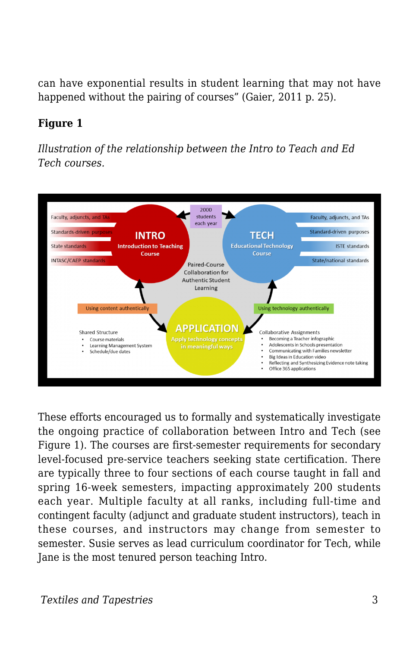can have exponential results in student learning that may not have happened without the pairing of courses" (Gaier, 2011 p. 25).

#### **Figure 1**

*Illustration of the relationship between the Intro to Teach and Ed Tech courses.*



These efforts encouraged us to formally and systematically investigate the ongoing practice of collaboration between Intro and Tech (see Figure 1). The courses are first-semester requirements for secondary level-focused pre-service teachers seeking state certification. There are typically three to four sections of each course taught in fall and spring 16-week semesters, impacting approximately 200 students each year. Multiple faculty at all ranks, including full-time and contingent faculty (adjunct and graduate student instructors), teach in these courses, and instructors may change from semester to semester. Susie serves as lead curriculum coordinator for Tech, while Jane is the most tenured person teaching Intro.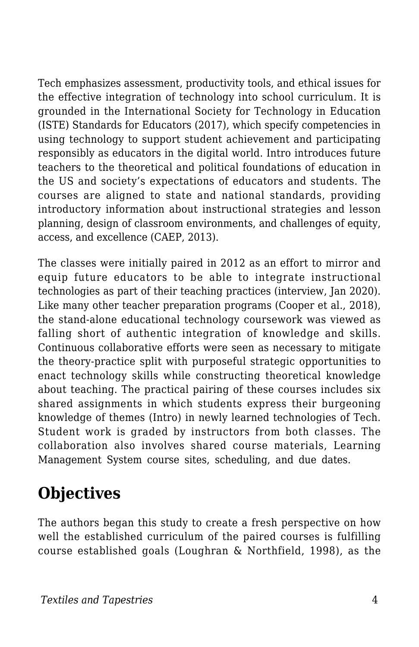Tech emphasizes assessment, productivity tools, and ethical issues for the effective integration of technology into school curriculum. It is grounded in the International Society for Technology in Education (ISTE) Standards for Educators (2017), which specify competencies in using technology to support student achievement and participating responsibly as educators in the digital world. Intro introduces future teachers to the theoretical and political foundations of education in the US and society's expectations of educators and students. The courses are aligned to state and national standards, providing introductory information about instructional strategies and lesson planning, design of classroom environments, and challenges of equity, access, and excellence (CAEP, 2013).

The classes were initially paired in 2012 as an effort to mirror and equip future educators to be able to integrate instructional technologies as part of their teaching practices (interview, Jan 2020). Like many other teacher preparation programs (Cooper et al., 2018), the stand-alone educational technology coursework was viewed as falling short of authentic integration of knowledge and skills. Continuous collaborative efforts were seen as necessary to mitigate the theory-practice split with purposeful strategic opportunities to enact technology skills while constructing theoretical knowledge about teaching. The practical pairing of these courses includes six shared assignments in which students express their burgeoning knowledge of themes (Intro) in newly learned technologies of Tech. Student work is graded by instructors from both classes. The collaboration also involves shared course materials, Learning Management System course sites, scheduling, and due dates.

# **Objectives**

The authors began this study to create a fresh perspective on how well the established curriculum of the paired courses is fulfilling course established goals (Loughran & Northfield, 1998), as the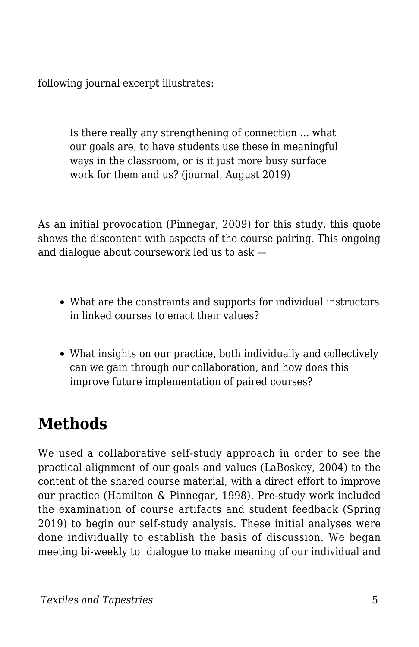following journal excerpt illustrates:

Is there really any strengthening of connection ... what our goals are, to have students use these in meaningful ways in the classroom, or is it just more busy surface work for them and us? (journal, August 2019)

As an initial provocation (Pinnegar, 2009) for this study, this quote shows the discontent with aspects of the course pairing. This ongoing and dialogue about coursework led us to ask —

- What are the constraints and supports for individual instructors in linked courses to enact their values?
- What insights on our practice, both individually and collectively can we gain through our collaboration, and how does this improve future implementation of paired courses?

## **Methods**

We used a collaborative self-study approach in order to see the practical alignment of our goals and values (LaBoskey, 2004) to the content of the shared course material, with a direct effort to improve our practice (Hamilton & Pinnegar, 1998). Pre-study work included the examination of course artifacts and student feedback (Spring 2019) to begin our self-study analysis. These initial analyses were done individually to establish the basis of discussion. We began meeting bi-weekly to dialogue to make meaning of our individual and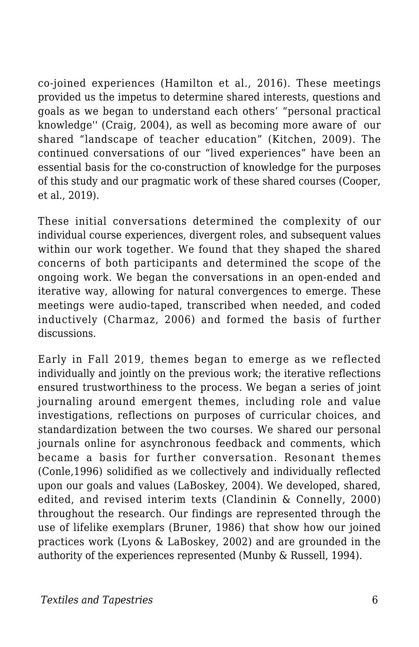co-joined experiences (Hamilton et al., 2016). These meetings provided us the impetus to determine shared interests, questions and goals as we began to understand each others' "personal practical knowledge'' (Craig, 2004), as well as becoming more aware of our shared "landscape of teacher education" (Kitchen, 2009). The continued conversations of our "lived experiences" have been an essential basis for the co-construction of knowledge for the purposes of this study and our pragmatic work of these shared courses (Cooper, et al., 2019).

These initial conversations determined the complexity of our individual course experiences, divergent roles, and subsequent values within our work together. We found that they shaped the shared concerns of both participants and determined the scope of the ongoing work. We began the conversations in an open-ended and iterative way, allowing for natural convergences to emerge. These meetings were audio-taped, transcribed when needed, and coded inductively (Charmaz, 2006) and formed the basis of further discussions.

Early in Fall 2019, themes began to emerge as we reflected individually and jointly on the previous work; the iterative reflections ensured trustworthiness to the process. We began a series of joint journaling around emergent themes, including role and value investigations, reflections on purposes of curricular choices, and standardization between the two courses. We shared our personal journals online for asynchronous feedback and comments, which became a basis for further conversation. Resonant themes (Conle,1996) solidified as we collectively and individually reflected upon our goals and values (LaBoskey, 2004). We developed, shared, edited, and revised interim texts (Clandinin & Connelly, 2000) throughout the research. Our findings are represented through the use of lifelike exemplars (Bruner, 1986) that show how our joined practices work (Lyons & LaBoskey, 2002) and are grounded in the authority of the experiences represented (Munby & Russell, 1994).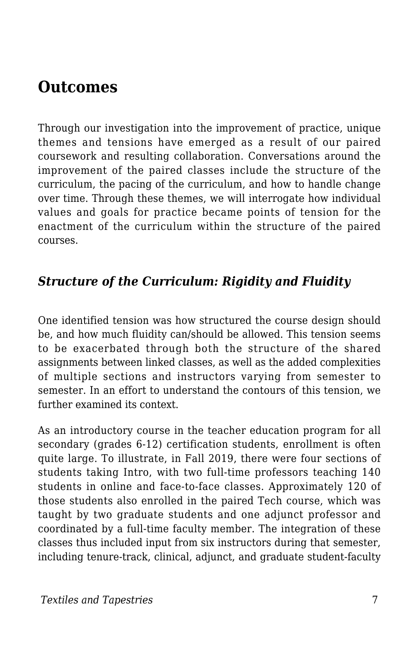### **Outcomes**

Through our investigation into the improvement of practice, unique themes and tensions have emerged as a result of our paired coursework and resulting collaboration. Conversations around the improvement of the paired classes include the structure of the curriculum, the pacing of the curriculum, and how to handle change over time. Through these themes, we will interrogate how individual values and goals for practice became points of tension for the enactment of the curriculum within the structure of the paired courses.

#### *Structure of the Curriculum: Rigidity and Fluidity*

One identified tension was how structured the course design should be, and how much fluidity can/should be allowed. This tension seems to be exacerbated through both the structure of the shared assignments between linked classes, as well as the added complexities of multiple sections and instructors varying from semester to semester. In an effort to understand the contours of this tension, we further examined its context.

As an introductory course in the teacher education program for all secondary (grades 6-12) certification students, enrollment is often quite large. To illustrate, in Fall 2019, there were four sections of students taking Intro, with two full-time professors teaching 140 students in online and face-to-face classes. Approximately 120 of those students also enrolled in the paired Tech course, which was taught by two graduate students and one adjunct professor and coordinated by a full-time faculty member. The integration of these classes thus included input from six instructors during that semester, including tenure-track, clinical, adjunct, and graduate student-faculty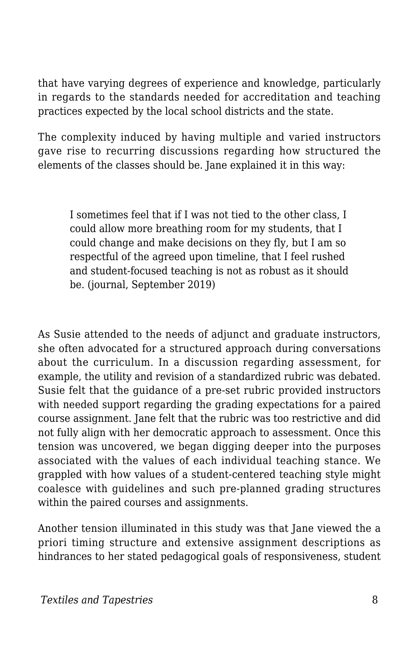that have varying degrees of experience and knowledge, particularly in regards to the standards needed for accreditation and teaching practices expected by the local school districts and the state.

The complexity induced by having multiple and varied instructors gave rise to recurring discussions regarding how structured the elements of the classes should be. Jane explained it in this way:

I sometimes feel that if I was not tied to the other class, I could allow more breathing room for my students, that I could change and make decisions on they fly, but I am so respectful of the agreed upon timeline, that I feel rushed and student-focused teaching is not as robust as it should be. (journal, September 2019)

As Susie attended to the needs of adjunct and graduate instructors, she often advocated for a structured approach during conversations about the curriculum. In a discussion regarding assessment, for example, the utility and revision of a standardized rubric was debated. Susie felt that the guidance of a pre-set rubric provided instructors with needed support regarding the grading expectations for a paired course assignment. Jane felt that the rubric was too restrictive and did not fully align with her democratic approach to assessment. Once this tension was uncovered, we began digging deeper into the purposes associated with the values of each individual teaching stance. We grappled with how values of a student-centered teaching style might coalesce with guidelines and such pre-planned grading structures within the paired courses and assignments.

Another tension illuminated in this study was that Jane viewed the a priori timing structure and extensive assignment descriptions as hindrances to her stated pedagogical goals of responsiveness, student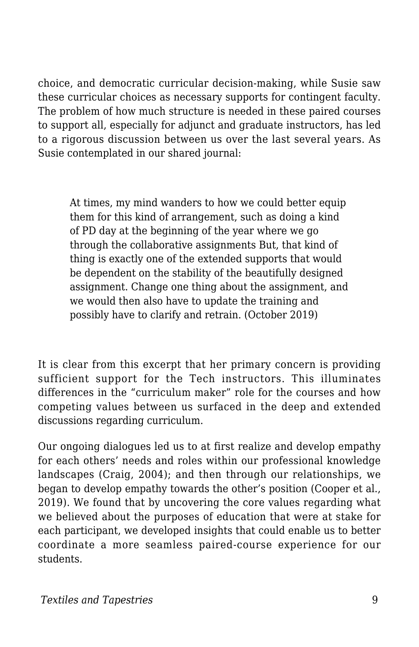choice, and democratic curricular decision-making, while Susie saw these curricular choices as necessary supports for contingent faculty. The problem of how much structure is needed in these paired courses to support all, especially for adjunct and graduate instructors, has led to a rigorous discussion between us over the last several years. As Susie contemplated in our shared journal:

At times, my mind wanders to how we could better equip them for this kind of arrangement, such as doing a kind of PD day at the beginning of the year where we go through the collaborative assignments But, that kind of thing is exactly one of the extended supports that would be dependent on the stability of the beautifully designed assignment. Change one thing about the assignment, and we would then also have to update the training and possibly have to clarify and retrain. (October 2019)

It is clear from this excerpt that her primary concern is providing sufficient support for the Tech instructors. This illuminates differences in the "curriculum maker" role for the courses and how competing values between us surfaced in the deep and extended discussions regarding curriculum.

Our ongoing dialogues led us to at first realize and develop empathy for each others' needs and roles within our professional knowledge landscapes (Craig, 2004); and then through our relationships, we began to develop empathy towards the other's position (Cooper et al., 2019). We found that by uncovering the core values regarding what we believed about the purposes of education that were at stake for each participant, we developed insights that could enable us to better coordinate a more seamless paired-course experience for our students.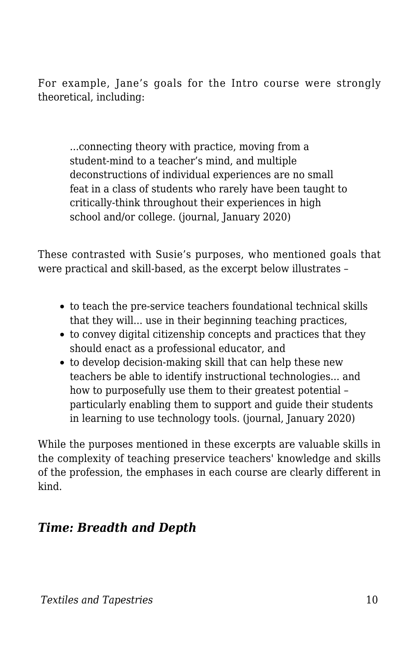For example, Jane's goals for the Intro course were strongly theoretical, including:

...connecting theory with practice, moving from a student-mind to a teacher's mind, and multiple deconstructions of individual experiences are no small feat in a class of students who rarely have been taught to critically-think throughout their experiences in high school and/or college. (journal, January 2020)

These contrasted with Susie's purposes, who mentioned goals that were practical and skill-based, as the excerpt below illustrates –

- to teach the pre-service teachers foundational technical skills that they will... use in their beginning teaching practices,
- to convey digital citizenship concepts and practices that they should enact as a professional educator, and
- to develop decision-making skill that can help these new teachers be able to identify instructional technologies... and how to purposefully use them to their greatest potential – particularly enabling them to support and guide their students in learning to use technology tools. (journal, January 2020)

While the purposes mentioned in these excerpts are valuable skills in the complexity of teaching preservice teachers' knowledge and skills of the profession, the emphases in each course are clearly different in kind.

### *Time: Breadth and Depth*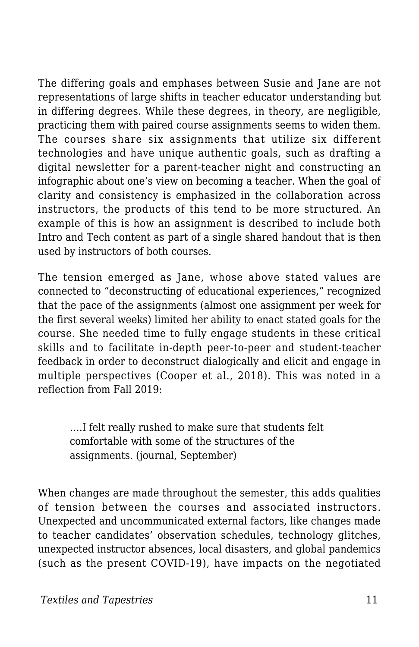The differing goals and emphases between Susie and Jane are not representations of large shifts in teacher educator understanding but in differing degrees. While these degrees, in theory, are negligible, practicing them with paired course assignments seems to widen them. The courses share six assignments that utilize six different technologies and have unique authentic goals, such as drafting a digital newsletter for a parent-teacher night and constructing an infographic about one's view on becoming a teacher. When the goal of clarity and consistency is emphasized in the collaboration across instructors, the products of this tend to be more structured. An example of this is how an assignment is described to include both Intro and Tech content as part of a single shared handout that is then used by instructors of both courses.

The tension emerged as Jane, whose above stated values are connected to "deconstructing of educational experiences," recognized that the pace of the assignments (almost one assignment per week for the first several weeks) limited her ability to enact stated goals for the course. She needed time to fully engage students in these critical skills and to facilitate in-depth peer-to-peer and student-teacher feedback in order to deconstruct dialogically and elicit and engage in multiple perspectives (Cooper et al., 2018). This was noted in a reflection from Fall 2019:

….I felt really rushed to make sure that students felt comfortable with some of the structures of the assignments. (journal, September)

When changes are made throughout the semester, this adds qualities of tension between the courses and associated instructors. Unexpected and uncommunicated external factors, like changes made to teacher candidates' observation schedules, technology glitches, unexpected instructor absences, local disasters, and global pandemics (such as the present COVID-19), have impacts on the negotiated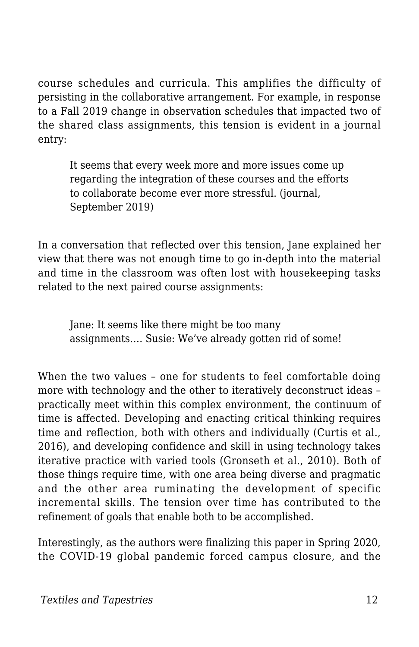course schedules and curricula. This amplifies the difficulty of persisting in the collaborative arrangement. For example, in response to a Fall 2019 change in observation schedules that impacted two of the shared class assignments, this tension is evident in a journal entry:

It seems that every week more and more issues come up regarding the integration of these courses and the efforts to collaborate become ever more stressful. (journal, September 2019)

In a conversation that reflected over this tension, Jane explained her view that there was not enough time to go in-depth into the material and time in the classroom was often lost with housekeeping tasks related to the next paired course assignments:

Jane: It seems like there might be too many assignments…. Susie: We've already gotten rid of some!

When the two values – one for students to feel comfortable doing more with technology and the other to iteratively deconstruct ideas – practically meet within this complex environment, the continuum of time is affected. Developing and enacting critical thinking requires time and reflection, both with others and individually (Curtis et al., 2016), and developing confidence and skill in using technology takes iterative practice with varied tools (Gronseth et al., 2010). Both of those things require time, with one area being diverse and pragmatic and the other area ruminating the development of specific incremental skills. The tension over time has contributed to the refinement of goals that enable both to be accomplished.

Interestingly, as the authors were finalizing this paper in Spring 2020, the COVID-19 global pandemic forced campus closure, and the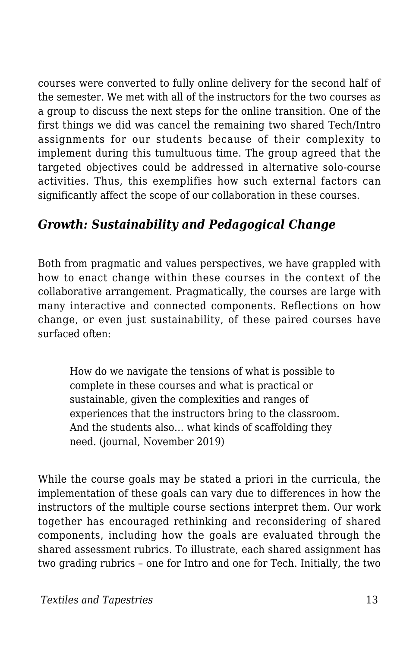courses were converted to fully online delivery for the second half of the semester. We met with all of the instructors for the two courses as a group to discuss the next steps for the online transition. One of the first things we did was cancel the remaining two shared Tech/Intro assignments for our students because of their complexity to implement during this tumultuous time. The group agreed that the targeted objectives could be addressed in alternative solo-course activities. Thus, this exemplifies how such external factors can significantly affect the scope of our collaboration in these courses.

### *Growth: Sustainability and Pedagogical Change*

Both from pragmatic and values perspectives, we have grappled with how to enact change within these courses in the context of the collaborative arrangement. Pragmatically, the courses are large with many interactive and connected components. Reflections on how change, or even just sustainability, of these paired courses have surfaced often:

How do we navigate the tensions of what is possible to complete in these courses and what is practical or sustainable, given the complexities and ranges of experiences that the instructors bring to the classroom. And the students also… what kinds of scaffolding they need. (journal, November 2019)

While the course goals may be stated a priori in the curricula, the implementation of these goals can vary due to differences in how the instructors of the multiple course sections interpret them. Our work together has encouraged rethinking and reconsidering of shared components, including how the goals are evaluated through the shared assessment rubrics. To illustrate, each shared assignment has two grading rubrics – one for Intro and one for Tech. Initially, the two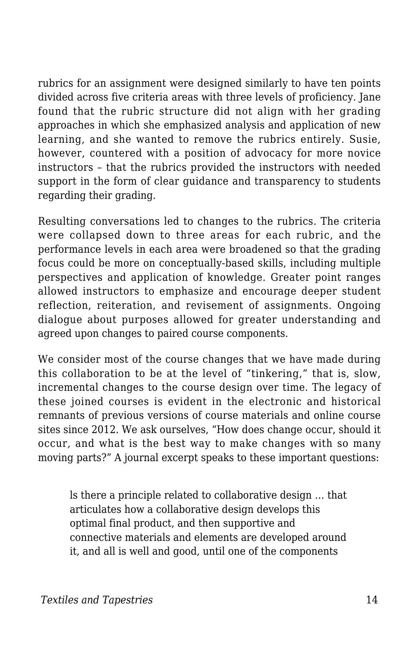rubrics for an assignment were designed similarly to have ten points divided across five criteria areas with three levels of proficiency. Jane found that the rubric structure did not align with her grading approaches in which she emphasized analysis and application of new learning, and she wanted to remove the rubrics entirely. Susie, however, countered with a position of advocacy for more novice instructors – that the rubrics provided the instructors with needed support in the form of clear guidance and transparency to students regarding their grading.

Resulting conversations led to changes to the rubrics. The criteria were collapsed down to three areas for each rubric, and the performance levels in each area were broadened so that the grading focus could be more on conceptually-based skills, including multiple perspectives and application of knowledge. Greater point ranges allowed instructors to emphasize and encourage deeper student reflection, reiteration, and revisement of assignments. Ongoing dialogue about purposes allowed for greater understanding and agreed upon changes to paired course components.

We consider most of the course changes that we have made during this collaboration to be at the level of "tinkering," that is, slow, incremental changes to the course design over time. The legacy of these joined courses is evident in the electronic and historical remnants of previous versions of course materials and online course sites since 2012. We ask ourselves, "How does change occur, should it occur, and what is the best way to make changes with so many moving parts?" A journal excerpt speaks to these important questions:

ls there a principle related to collaborative design … that articulates how a collaborative design develops this optimal final product, and then supportive and connective materials and elements are developed around it, and all is well and good, until one of the components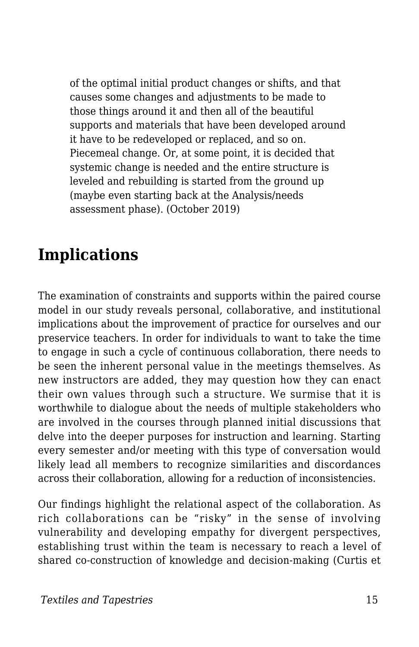of the optimal initial product changes or shifts, and that causes some changes and adjustments to be made to those things around it and then all of the beautiful supports and materials that have been developed around it have to be redeveloped or replaced, and so on. Piecemeal change. Or, at some point, it is decided that systemic change is needed and the entire structure is leveled and rebuilding is started from the ground up (maybe even starting back at the Analysis/needs assessment phase). (October 2019)

### **Implications**

The examination of constraints and supports within the paired course model in our study reveals personal, collaborative, and institutional implications about the improvement of practice for ourselves and our preservice teachers. In order for individuals to want to take the time to engage in such a cycle of continuous collaboration, there needs to be seen the inherent personal value in the meetings themselves. As new instructors are added, they may question how they can enact their own values through such a structure. We surmise that it is worthwhile to dialogue about the needs of multiple stakeholders who are involved in the courses through planned initial discussions that delve into the deeper purposes for instruction and learning. Starting every semester and/or meeting with this type of conversation would likely lead all members to recognize similarities and discordances across their collaboration, allowing for a reduction of inconsistencies.

Our findings highlight the relational aspect of the collaboration. As rich collaborations can be "risky" in the sense of involving vulnerability and developing empathy for divergent perspectives, establishing trust within the team is necessary to reach a level of shared co-construction of knowledge and decision-making (Curtis et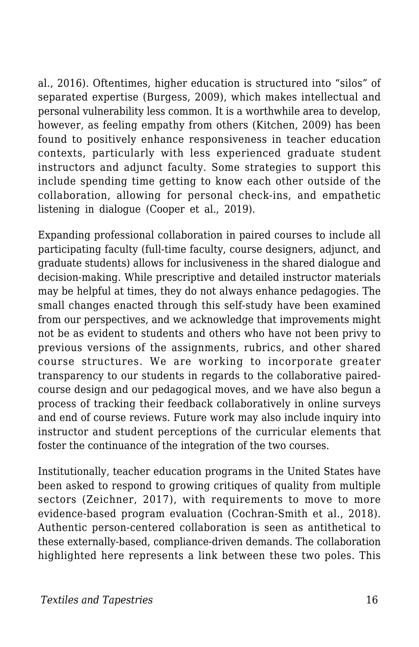al., 2016). Oftentimes, higher education is structured into "silos" of separated expertise (Burgess, 2009), which makes intellectual and personal vulnerability less common. It is a worthwhile area to develop, however, as feeling empathy from others (Kitchen, 2009) has been found to positively enhance responsiveness in teacher education contexts, particularly with less experienced graduate student instructors and adjunct faculty. Some strategies to support this include spending time getting to know each other outside of the collaboration, allowing for personal check-ins, and empathetic listening in dialogue (Cooper et al., 2019).

Expanding professional collaboration in paired courses to include all participating faculty (full-time faculty, course designers, adjunct, and graduate students) allows for inclusiveness in the shared dialogue and decision-making. While prescriptive and detailed instructor materials may be helpful at times, they do not always enhance pedagogies. The small changes enacted through this self-study have been examined from our perspectives, and we acknowledge that improvements might not be as evident to students and others who have not been privy to previous versions of the assignments, rubrics, and other shared course structures. We are working to incorporate greater transparency to our students in regards to the collaborative pairedcourse design and our pedagogical moves, and we have also begun a process of tracking their feedback collaboratively in online surveys and end of course reviews. Future work may also include inquiry into instructor and student perceptions of the curricular elements that foster the continuance of the integration of the two courses.

Institutionally, teacher education programs in the United States have been asked to respond to growing critiques of quality from multiple sectors (Zeichner, 2017), with requirements to move to more evidence-based program evaluation (Cochran-Smith et al., 2018). Authentic person-centered collaboration is seen as antithetical to these externally-based, compliance-driven demands. The collaboration highlighted here represents a link between these two poles. This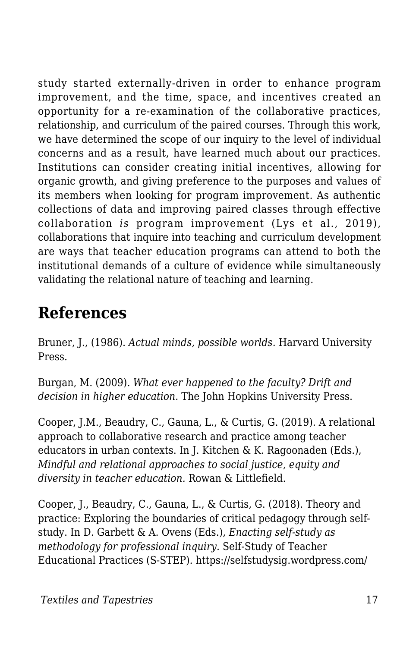study started externally-driven in order to enhance program improvement, and the time, space, and incentives created an opportunity for a re-examination of the collaborative practices, relationship, and curriculum of the paired courses. Through this work, we have determined the scope of our inquiry to the level of individual concerns and as a result, have learned much about our practices. Institutions can consider creating initial incentives, allowing for organic growth, and giving preference to the purposes and values of its members when looking for program improvement. As authentic collections of data and improving paired classes through effective collaboration *is* program improvement (Lys et al., 2019), collaborations that inquire into teaching and curriculum development are ways that teacher education programs can attend to both the institutional demands of a culture of evidence while simultaneously validating the relational nature of teaching and learning.

### **References**

Bruner, J., (1986). *Actual minds, possible worlds.* Harvard University Press.

Burgan, M. (2009). *What ever happened to the faculty? Drift and decision in higher education.* The John Hopkins University Press.

Cooper, J.M., Beaudry, C., Gauna, L., & Curtis, G. (2019). A relational approach to collaborative research and practice among teacher educators in urban contexts. In J. Kitchen & K. Ragoonaden (Eds.), *Mindful and relational approaches to social justice, equity and diversity in teacher education.* Rowan & Littlefield.

Cooper, J., Beaudry, C., Gauna, L., & Curtis, G. (2018). Theory and practice: Exploring the boundaries of critical pedagogy through selfstudy. In D. Garbett & A. Ovens (Eds.), *Enacting self-study as methodology for professional inquiry.* Self-Study of Teacher Educational Practices (S-STEP). https://selfstudysig.wordpress.com/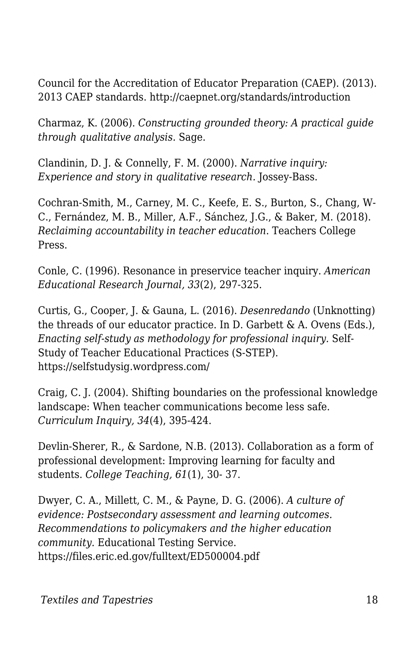Council for the Accreditation of Educator Preparation (CAEP). (2013). 2013 CAEP standards. http://caepnet.org/standards/introduction

Charmaz, K. (2006). *Constructing grounded theory: A practical guide through qualitative analysis.* Sage.

Clandinin, D. J. & Connelly, F. M. (2000). *Narrative inquiry: Experience and story in qualitative research.* Jossey-Bass.

Cochran-Smith, M., Carney, M. C., Keefe, E. S., Burton, S., Chang, W-C., Fernández, M. B., Miller, A.F., Sánchez, J.G., & Baker, M. (2018). *Reclaiming accountability in teacher education*. Teachers College Press.

Conle, C. (1996). Resonance in preservice teacher inquiry. *American Educational Research Journal, 33*(2), 297-325.

Curtis, G., Cooper, J. & Gauna, L. (2016). *Desenredando* (Unknotting) the threads of our educator practice. In D. Garbett & A. Ovens (Eds.), *Enacting self-study as methodology for professional inquiry.* Self-Study of Teacher Educational Practices (S-STEP). https://selfstudysig.wordpress.com/

Craig, C. J. (2004). Shifting boundaries on the professional knowledge landscape: When teacher communications become less safe. *Curriculum Inquiry, 34*(4), 395-424.

Devlin-Sherer, R., & Sardone, N.B. (2013). Collaboration as a form of professional development: Improving learning for faculty and students. *College Teaching, 61*(1), 30- 37.

Dwyer, C. A., Millett, C. M., & Payne, D. G. (2006). *A culture of evidence: Postsecondary assessment and learning outcomes. Recommendations to policymakers and the higher education community.* Educational Testing Service. https://files.eric.ed.gov/fulltext/ED500004.pdf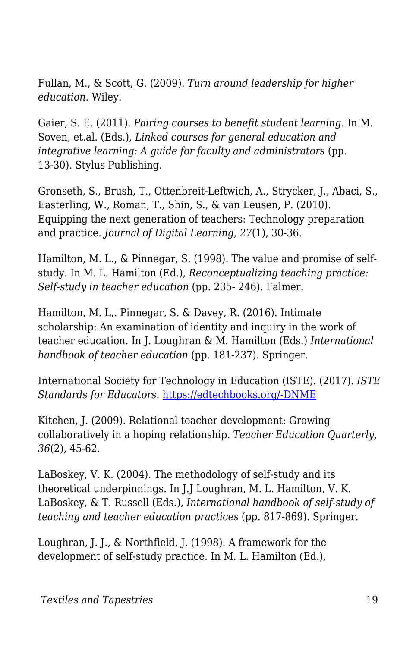Fullan, M., & Scott, G. (2009). *Turn around leadership for higher education.* Wiley.

Gaier, S. E. (2011). *Pairing courses to benefit student learning.* In M. Soven, et.al. (Eds.), *Linked courses for general education and integrative learning: A quide for faculty and administrators (pp.* 13-30). Stylus Publishing.

Gronseth, S., Brush, T., Ottenbreit-Leftwich, A., Strycker, J., Abaci, S., Easterling, W., Roman, T., Shin, S., & van Leusen, P. (2010). Equipping the next generation of teachers: Technology preparation and practice. *Journal of Digital Learning, 27*(1), 30-36.

Hamilton, M. L., & Pinnegar, S. (1998). The value and promise of selfstudy. In M. L. Hamilton (Ed.), *Reconceptualizing teaching practice: Self-study in teacher education* (pp. 235- 246). Falmer.

Hamilton, M. L,. Pinnegar, S. & Davey, R. (2016). Intimate scholarship: An examination of identity and inquiry in the work of teacher education. In J. Loughran & M. Hamilton (Eds.) *International handbook of teacher education* (pp. 181-237). Springer.

International Society for Technology in Education (ISTE). (2017). *ISTE Standards for Educators.* [https://edtechbooks.org/-DNME](http://www.iste.org/standards/for-educators)

Kitchen, J. (2009). Relational teacher development: Growing collaboratively in a hoping relationship. *Teacher Education Quarterly, 36*(2), 45-62.

LaBoskey, V. K. (2004). The methodology of self-study and its theoretical underpinnings. In J.J Loughran, M. L. Hamilton, V. K. LaBoskey, & T. Russell (Eds.), *International handbook of self-study of teaching and teacher education practices* (pp. 817-869). Springer.

Loughran, J. J., & Northfield, J. (1998). A framework for the development of self-study practice. In M. L. Hamilton (Ed.),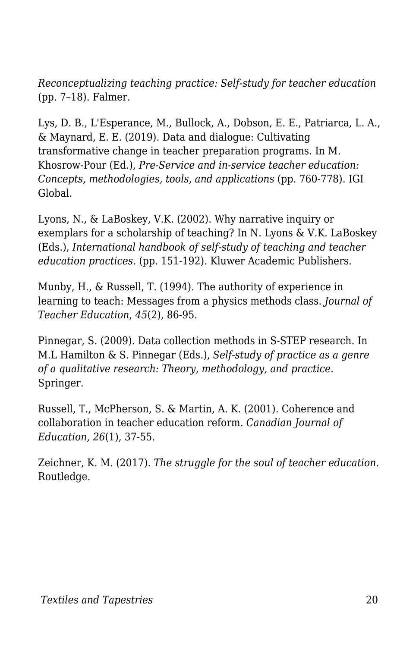*Reconceptualizing teaching practice: Self-study for teacher education* (pp. 7–18). Falmer.

Lys, D. B., L'Esperance, M., Bullock, A., Dobson, E. E., Patriarca, L. A., & Maynard, E. E. (2019). Data and dialogue: Cultivating transformative change in teacher preparation programs. In M. Khosrow-Pour (Ed.), *Pre-Service and in-service teacher education: Concepts, methodologies, tools, and applications* (pp. 760-778). IGI Global.

Lyons, N., & LaBoskey, V.K. (2002). Why narrative inquiry or exemplars for a scholarship of teaching? In N. Lyons & V.K. LaBoskey (Eds.), *International handbook of self-study of teaching and teacher education practices.* (pp. 151-192). Kluwer Academic Publishers.

Munby, H., & Russell, T. (1994). The authority of experience in learning to teach: Messages from a physics methods class. *Journal of Teacher Education*, *45*(2), 86-95.

Pinnegar, S. (2009). Data collection methods in S-STEP research. In M.L Hamilton & S. Pinnegar (Eds.), *Self-study of practice as a genre of a qualitative research: Theory, methodology, and practice.* Springer.

Russell, T., McPherson, S. & Martin, A. K. (2001). Coherence and collaboration in teacher education reform. *Canadian Journal of Education, 26*(1), 37-55.

Zeichner, K. M. (2017). *The struggle for the soul of teacher education*. Routledge.